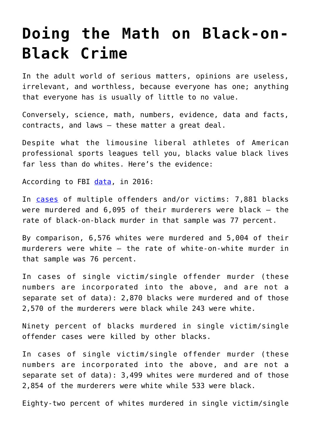## **[Doing the Math on Black-on-](https://intellectualtakeout.org/2020/07/doing-the-math-on-black-on-black-crime/)[Black Crime](https://intellectualtakeout.org/2020/07/doing-the-math-on-black-on-black-crime/)**

In the adult world of serious matters, opinions are useless, irrelevant, and worthless, because everyone has one; anything that everyone has is usually of little to no value.

Conversely, science, math, numbers, evidence, data and facts, contracts, and laws – these matter a great deal.

Despite what the limousine liberal athletes of American professional sports leagues tell you, blacks value black lives far less than do whites. Here's the evidence:

According to FBI [data](https://ucr.fbi.gov/crime-in-the-u.s/2016/crime-in-the-u.s.-2016/tables/expanded-homicide-data-table-1.xls), in 2016:

In [cases](https://ucr.fbi.gov/crime-in-the-u.s/2016/crime-in-the-u.s.-2016/tables/expanded-homicide-data-table-3.xls) of multiple offenders and/or victims: 7,881 blacks were murdered and 6,095 of their murderers were black – the rate of black-on-black murder in that sample was 77 percent.

By comparison, 6,576 whites were murdered and 5,004 of their murderers were white – the rate of white-on-white murder in that sample was 76 percent.

In cases of single victim/single offender murder (these numbers are incorporated into the above, and are not a separate set of data): 2,870 blacks were murdered and of those 2,570 of the murderers were black while 243 were white.

Ninety percent of blacks murdered in single victim/single offender cases were killed by other blacks.

In cases of single victim/single offender murder (these numbers are incorporated into the above, and are not a separate set of data): 3,499 whites were murdered and of those 2,854 of the murderers were white while 533 were black.

Eighty-two percent of whites murdered in single victim/single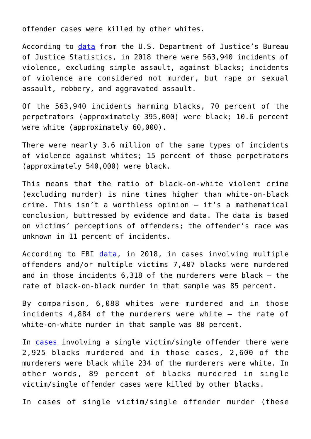offender cases were killed by other whites.

According to [data](https://www.bjs.gov/content/pub/pdf/cv18.pdf) from the U.S. Department of Justice's Bureau of Justice Statistics, in 2018 there were 563,940 incidents of violence, excluding simple assault, against blacks; incidents of violence are considered not murder, but rape or sexual assault, robbery, and aggravated assault.

Of the 563,940 incidents harming blacks, 70 percent of the perpetrators (approximately 395,000) were black; 10.6 percent were white (approximately 60,000).

There were nearly 3.6 million of the same types of incidents of violence against whites; 15 percent of those perpetrators (approximately 540,000) were black.

This means that the ratio of black-on-white violent crime (excluding murder) is nine times higher than white-on-black crime. This isn't a worthless opinion – it's a mathematical conclusion, buttressed by evidence and data. The data is based on victims' perceptions of offenders; the offender's race was unknown in 11 percent of incidents.

According to FBI [data](https://ucr.fbi.gov/crime-in-the-u.s/2018/crime-in-the-u.s.-2018/topic-pages/tables/expanded-homicide-data-table-1.xls), in 2018, in cases involving multiple offenders and/or multiple victims 7,407 blacks were murdered and in those incidents 6,318 of the murderers were black – the rate of black-on-black murder in that sample was 85 percent.

By comparison, 6,088 whites were murdered and in those incidents 4,884 of the murderers were white – the rate of white-on-white murder in that sample was 80 percent.

In [cases](https://ucr.fbi.gov/crime-in-the-u.s/2018/crime-in-the-u.s.-2018/tables/expanded-homicide-data-table-6.xls) involving a single victim/single offender there were 2,925 blacks murdered and in those cases, 2,600 of the murderers were black while 234 of the murderers were white. In other words, 89 percent of blacks murdered in single victim/single offender cases were killed by other blacks.

In cases of single victim/single offender murder (these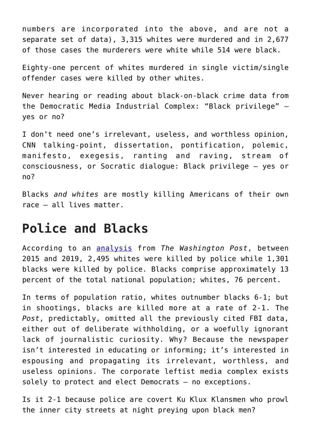numbers are incorporated into the above, and are not a separate set of data), 3,315 whites were murdered and in 2,677 of those cases the murderers were white while 514 were black.

Eighty-one percent of whites murdered in single victim/single offender cases were killed by other whites.

Never hearing or reading about black-on-black crime data from the Democratic Media Industrial Complex: "Black privilege" – yes or no?

I don't need one's irrelevant, useless, and worthless opinion, CNN talking-point, dissertation, pontification, polemic, manifesto, exegesis, ranting and raving, stream of consciousness, or Socratic dialogue: Black privilege – yes or no?

Blacks *and whites* are mostly killing Americans of their own race – all lives matter.

## **Police and Blacks**

According to an [analysis](https://www.washingtonpost.com/graphics/investigations/police-shootings-database/) from *The Washington Post*, between 2015 and 2019, 2,495 whites were killed by police while 1,301 blacks were killed by police. Blacks comprise approximately 13 percent of the total national population; whites, 76 percent.

In terms of population ratio, whites outnumber blacks 6-1; but in shootings, blacks are killed more at a rate of 2-1. The *Post*, predictably, omitted all the previously cited FBI data, either out of deliberate withholding, or a woefully ignorant lack of journalistic curiosity. Why? Because the newspaper isn't interested in educating or informing; it's interested in espousing and propagating its irrelevant, worthless, and useless opinions. The corporate leftist media complex exists solely to protect and elect Democrats – no exceptions.

Is it 2-1 because police are covert Ku Klux Klansmen who prowl the inner city streets at night preying upon black men?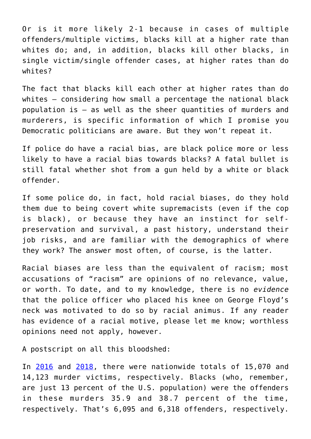Or is it more likely 2-1 because in cases of multiple offenders/multiple victims, blacks kill at a higher rate than whites do; and, in addition, blacks kill other blacks, in single victim/single offender cases, at higher rates than do whites?

The fact that blacks kill each other at higher rates than do whites – considering how small a percentage the national black population is – as well as the sheer quantities of murders and murderers, is specific information of which I promise you Democratic politicians are aware. But they won't repeat it.

If police do have a racial bias, are black police more or less likely to have a racial bias towards blacks? A fatal bullet is still fatal whether shot from a gun held by a white or black offender.

If some police do, in fact, hold racial biases, do they hold them due to being covert white supremacists (even if the cop is black), or because they have an instinct for selfpreservation and survival, a past history, understand their job risks, and are familiar with the demographics of where they work? The answer most often, of course, is the latter.

Racial biases are less than the equivalent of racism; most accusations of "racism" are opinions of no relevance, value, or worth. To date, and to my knowledge, there is no *evidence* that the police officer who placed his knee on George Floyd's neck was motivated to do so by racial animus. If any reader has evidence of a racial motive, please let me know; worthless opinions need not apply, however.

A postscript on all this bloodshed:

In [2016](https://ucr.fbi.gov/crime-in-the-u.s/2016/crime-in-the-u.s.-2016/tables/expanded-homicide-data-table-2.xls) and [2018,](https://ucr.fbi.gov/crime-in-the-u.s/2018/crime-in-the-u.s.-2018/tables/expanded-homicide-data-table-3.xls) there were nationwide totals of 15,070 and 14,123 murder victims, respectively. Blacks (who, remember, are just 13 percent of the U.S. population) were the offenders in these murders 35.9 and 38.7 percent of the time, respectively. That's 6,095 and 6,318 offenders, respectively.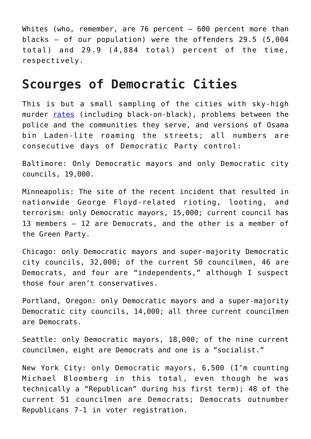Whites (who, remember, are 76 percent – 600 percent more than blacks – of our population) were the offenders 29.5 (5,004 total) and 29.9 (4,884 total) percent of the time, respectively.

## **Scourges of Democratic Cities**

This is but a small sampling of the cities with sky-high murder [rates](https://www.thetrace.org/2018/04/highest-murder-rates-us-cities-list/) (including black-on-black), problems between the police and the communities they serve, and versions of Osama bin Laden-lite roaming the streets; all numbers are consecutive days of Democratic Party control:

Baltimore: Only Democratic mayors and only Democratic city councils, 19,000.

Minneapolis: The site of the recent incident that resulted in nationwide George Floyd-related rioting, looting, and terrorism: only Democratic mayors, 15,000; current council has 13 members – 12 are Democrats, and the other is a member of the Green Party.

Chicago: only Democratic mayors and super-majority Democratic city councils, 32,000; of the current 50 councilmen, 46 are Democrats, and four are "independents," although I suspect those four aren't conservatives.

Portland, Oregon: only Democratic mayors and a super-majority Democratic city councils, 14,000; all three current councilmen are Democrats.

Seattle: only Democratic mayors, 18,000; of the nine current councilmen, eight are Democrats and one is a "socialist."

New York City: only Democratic mayors, 6,500 (I'm counting Michael Bloomberg in this total, even though he was technically a "Republican" during his first term); 48 of the current 51 councilmen are Democrats; Democrats outnumber Republicans 7-1 in voter registration.